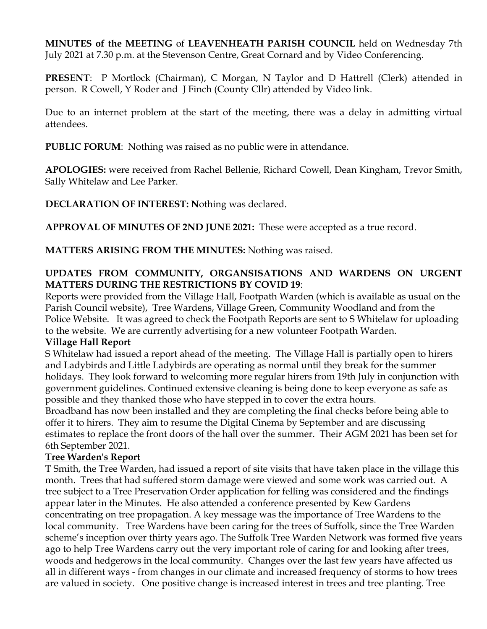**MINUTES of the MEETING** of **LEAVENHEATH PARISH COUNCIL** held on Wednesday 7th July 2021 at 7.30 p.m. at the Stevenson Centre, Great Cornard and by Video Conferencing.

**PRESENT**: P Mortlock (Chairman), C Morgan, N Taylor and D Hattrell (Clerk) attended in person. R Cowell, Y Roder and J Finch (County Cllr) attended by Video link.

Due to an internet problem at the start of the meeting, there was a delay in admitting virtual attendees.

**PUBLIC FORUM**: Nothing was raised as no public were in attendance.

**APOLOGIES:** were received from Rachel Bellenie, Richard Cowell, Dean Kingham, Trevor Smith, Sally Whitelaw and Lee Parker.

**DECLARATION OF INTEREST: N**othing was declared.

**APPROVAL OF MINUTES OF 2ND JUNE 2021:** These were accepted as a true record.

**MATTERS ARISING FROM THE MINUTES:** Nothing was raised.

## **UPDATES FROM COMMUNITY, ORGANSISATIONS AND WARDENS ON URGENT MATTERS DURING THE RESTRICTIONS BY COVID 19**:

Reports were provided from the Village Hall, Footpath Warden (which is available as usual on the Parish Council website), Tree Wardens, Village Green, Community Woodland and from the Police Website. It was agreed to check the Footpath Reports are sent to S Whitelaw for uploading to the website. We are currently advertising for a new volunteer Footpath Warden.

#### **Village Hall Report**

S Whitelaw had issued a report ahead of the meeting. The Village Hall is partially open to hirers and Ladybirds and Little Ladybirds are operating as normal until they break for the summer holidays. They look forward to welcoming more regular hirers from 19th July in conjunction with government guidelines. Continued extensive cleaning is being done to keep everyone as safe as possible and they thanked those who have stepped in to cover the extra hours.

Broadband has now been installed and they are completing the final checks before being able to offer it to hirers. They aim to resume the Digital Cinema by September and are discussing estimates to replace the front doors of the hall over the summer. Their AGM 2021 has been set for 6th September 2021.

### **Tree Warden's Report**

T Smith, the Tree Warden, had issued a report of site visits that have taken place in the village this month. Trees that had suffered storm damage were viewed and some work was carried out. A tree subject to a Tree Preservation Order application for felling was considered and the findings appear later in the Minutes. He also attended a conference presented by Kew Gardens concentrating on tree propagation. A key message was the importance of Tree Wardens to the local community. Tree Wardens have been caring for the trees of Suffolk, since the Tree Warden scheme's inception over thirty years ago. The Suffolk Tree Warden Network was formed five years ago to help Tree Wardens carry out the very important role of caring for and looking after trees, woods and hedgerows in the local community. Changes over the last few years have affected us all in different ways - from changes in our climate and increased frequency of storms to how trees are valued in society. One positive change is increased interest in trees and tree planting. Tree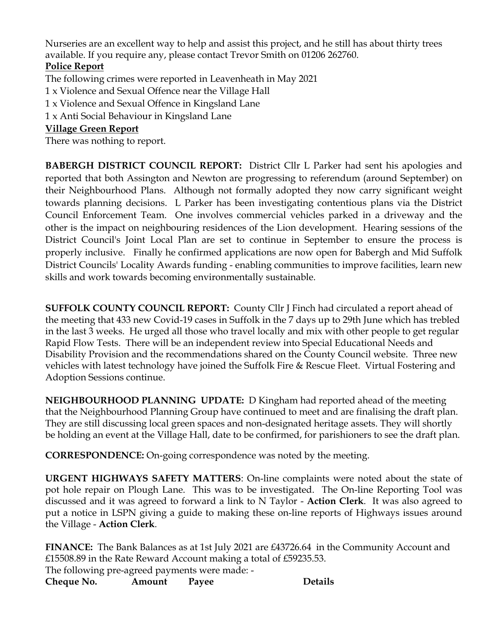Nurseries are an excellent way to help and assist this project, and he still has about thirty trees available. If you require any, please contact Trevor Smith on 01206 262760.

# **Police Report**

The following crimes were reported in Leavenheath in May 2021

1 x Violence and Sexual Offence near the Village Hall

1 x Violence and Sexual Offence in Kingsland Lane

1 x Anti Social Behaviour in Kingsland Lane

## **Village Green Report**

There was nothing to report.

**BABERGH DISTRICT COUNCIL REPORT:** District Cllr L Parker had sent his apologies and reported that both Assington and Newton are progressing to referendum (around September) on their Neighbourhood Plans. Although not formally adopted they now carry significant weight towards planning decisions. L Parker has been investigating contentious plans via the District Council Enforcement Team. One involves commercial vehicles parked in a driveway and the other is the impact on neighbouring residences of the Lion development. Hearing sessions of the District Council's Joint Local Plan are set to continue in September to ensure the process is properly inclusive. Finally he confirmed applications are now open for Babergh and Mid Suffolk District Councils' Locality Awards funding - enabling communities to improve facilities, learn new skills and work towards becoming environmentally sustainable.

**SUFFOLK COUNTY COUNCIL REPORT:** County Cllr J Finch had circulated a report ahead of the meeting that 433 new Covid-19 cases in Suffolk in the 7 days up to 29th June which has trebled in the last 3 weeks. He urged all those who travel locally and mix with other people to get regular Rapid Flow Tests. There will be an independent review into Special Educational Needs and Disability Provision and the recommendations shared on the County Council website. Three new vehicles with latest technology have joined the Suffolk Fire & Rescue Fleet. Virtual Fostering and Adoption Sessions continue.

**NEIGHBOURHOOD PLANNING UPDATE:** D Kingham had reported ahead of the meeting that the Neighbourhood Planning Group have continued to meet and are finalising the draft plan. They are still discussing local green spaces and non-designated heritage assets. They will shortly be holding an event at the Village Hall, date to be confirmed, for parishioners to see the draft plan.

**CORRESPONDENCE:** On-going correspondence was noted by the meeting.

**URGENT HIGHWAYS SAFETY MATTERS**: On-line complaints were noted about the state of pot hole repair on Plough Lane. This was to be investigated. The On-line Reporting Tool was discussed and it was agreed to forward a link to N Taylor - **Action Clerk**. It was also agreed to put a notice in LSPN giving a guide to making these on-line reports of Highways issues around the Village - **Action Clerk**.

**FINANCE:** The Bank Balances as at 1st July 2021 are £43726.64 in the Community Account and £15508.89 in the Rate Reward Account making a total of £59235.53. The following pre-agreed payments were made: - **Cheque No. Amount Payee Details**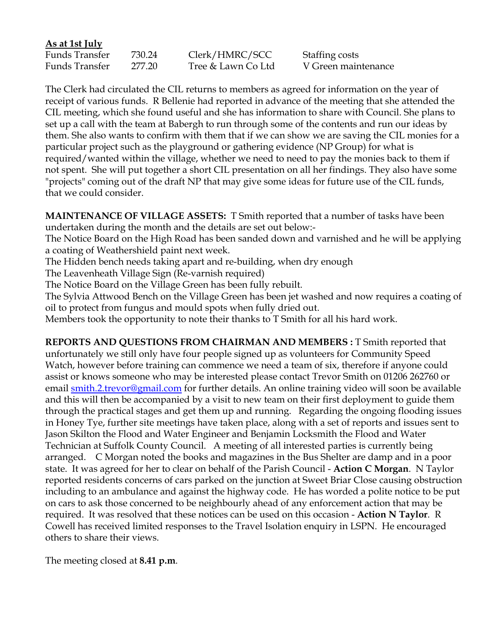### **As at 1st July**

| Funds Transfer | 730.24 | Clerk/HMRC/SCC     | Staffing costs      |
|----------------|--------|--------------------|---------------------|
| Funds Transfer | 277.20 | Tree & Lawn Co Ltd | V Green maintenance |

The Clerk had circulated the CIL returns to members as agreed for information on the year of receipt of various funds. R Bellenie had reported in advance of the meeting that she attended the CIL meeting, which she found useful and she has information to share with Council. She plans to set up a call with the team at Babergh to run through some of the contents and run our ideas by them. She also wants to confirm with them that if we can show we are saving the CIL monies for a particular project such as the playground or gathering evidence (NP Group) for what is required/wanted within the village, whether we need to need to pay the monies back to them if not spent. She will put together a short CIL presentation on all her findings. They also have some "projects" coming out of the draft NP that may give some ideas for future use of the CIL funds, that we could consider.

**MAINTENANCE OF VILLAGE ASSETS:** T Smith reported that a number of tasks have been undertaken during the month and the details are set out below:-

The Notice Board on the High Road has been sanded down and varnished and he will be applying a coating of Weathershield paint next week.

The Hidden bench needs taking apart and re-building, when dry enough

The Leavenheath Village Sign (Re-varnish required)

The Notice Board on the Village Green has been fully rebuilt.

The Sylvia Attwood Bench on the Village Green has been jet washed and now requires a coating of oil to protect from fungus and mould spots when fully dried out.

Members took the opportunity to note their thanks to T Smith for all his hard work.

**REPORTS AND QUESTIONS FROM CHAIRMAN AND MEMBERS :** T Smith reported that unfortunately we still only have four people signed up as volunteers for Community Speed Watch, however before training can commence we need a team of six, therefore if anyone could assist or knows someone who may be interested please contact Trevor Smith on 01206 262760 or email **smith.2.trevor@gmail.com** for further details. An online training video will soon be available and this will then be accompanied by a visit to new team on their first deployment to guide them through the practical stages and get them up and running. Regarding the ongoing flooding issues in Honey Tye, further site meetings have taken place, along with a set of reports and issues sent to Jason Skilton the Flood and Water Engineer and Benjamin Locksmith the Flood and Water Technician at Suffolk County Council. A meeting of all interested parties is currently being arranged. C Morgan noted the books and magazines in the Bus Shelter are damp and in a poor state. It was agreed for her to clear on behalf of the Parish Council - **Action C Morgan**. N Taylor reported residents concerns of cars parked on the junction at Sweet Briar Close causing obstruction including to an ambulance and against the highway code. He has worded a polite notice to be put on cars to ask those concerned to be neighbourly ahead of any enforcement action that may be required. It was resolved that these notices can be used on this occasion - **Action N Taylor**. R Cowell has received limited responses to the Travel Isolation enquiry in LSPN. He encouraged others to share their views.

The meeting closed at **8.41 p.m**.